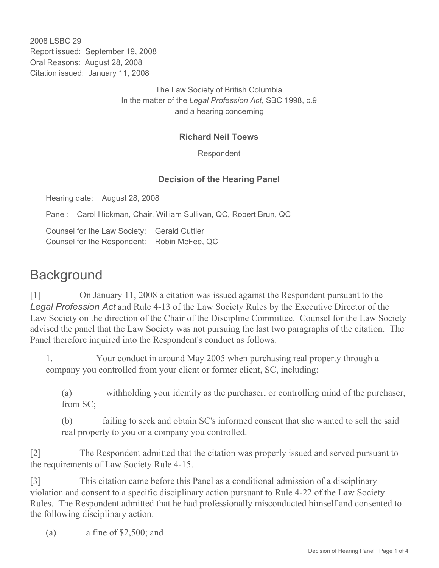2008 LSBC 29 Report issued: September 19, 2008 Oral Reasons: August 28, 2008 Citation issued: January 11, 2008

> The Law Society of British Columbia In the matter of the *Legal Profession Act*, SBC 1998, c.9 and a hearing concerning

## **Richard Neil Toews**

Respondent

## **Decision of the Hearing Panel**

Hearing date: August 28, 2008

Panel: Carol Hickman, Chair, William Sullivan, QC, Robert Brun, QC

Counsel for the Law Society: Gerald Cuttler Counsel for the Respondent: Robin McFee, QC

## **Background**

[1] On January 11, 2008 a citation was issued against the Respondent pursuant to the *Legal Profession Act* and Rule 4-13 of the Law Society Rules by the Executive Director of the Law Society on the direction of the Chair of the Discipline Committee. Counsel for the Law Society advised the panel that the Law Society was not pursuing the last two paragraphs of the citation. The Panel therefore inquired into the Respondent's conduct as follows:

1. Your conduct in around May 2005 when purchasing real property through a company you controlled from your client or former client, SC, including:

(a) withholding your identity as the purchaser, or controlling mind of the purchaser, from SC;

(b) failing to seek and obtain SC's informed consent that she wanted to sell the said real property to you or a company you controlled.

[2] The Respondent admitted that the citation was properly issued and served pursuant to the requirements of Law Society Rule 4-15.

[3] This citation came before this Panel as a conditional admission of a disciplinary violation and consent to a specific disciplinary action pursuant to Rule 4-22 of the Law Society Rules. The Respondent admitted that he had professionally misconducted himself and consented to the following disciplinary action:

(a)  $\alpha$  fine of \$2,500; and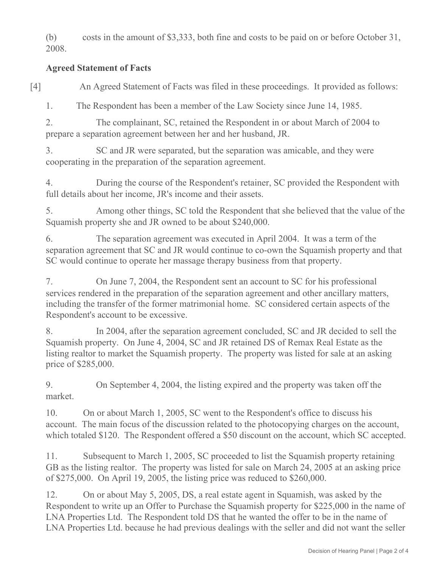(b) costs in the amount of \$3,333, both fine and costs to be paid on or before October 31, 2008.

## **Agreed Statement of Facts**

[4] An Agreed Statement of Facts was filed in these proceedings. It provided as follows:

1. The Respondent has been a member of the Law Society since June 14, 1985.

2. The complainant, SC, retained the Respondent in or about March of 2004 to prepare a separation agreement between her and her husband, JR.

3. SC and JR were separated, but the separation was amicable, and they were cooperating in the preparation of the separation agreement.

4. During the course of the Respondent's retainer, SC provided the Respondent with full details about her income, JR's income and their assets.

5. Among other things, SC told the Respondent that she believed that the value of the Squamish property she and JR owned to be about \$240,000.

6. The separation agreement was executed in April 2004. It was a term of the separation agreement that SC and JR would continue to co-own the Squamish property and that SC would continue to operate her massage therapy business from that property.

7. On June 7, 2004, the Respondent sent an account to SC for his professional services rendered in the preparation of the separation agreement and other ancillary matters, including the transfer of the former matrimonial home. SC considered certain aspects of the Respondent's account to be excessive.

8. In 2004, after the separation agreement concluded, SC and JR decided to sell the Squamish property. On June 4, 2004, SC and JR retained DS of Remax Real Estate as the listing realtor to market the Squamish property. The property was listed for sale at an asking price of \$285,000.

9. On September 4, 2004, the listing expired and the property was taken off the market.

10. On or about March 1, 2005, SC went to the Respondent's office to discuss his account. The main focus of the discussion related to the photocopying charges on the account, which totaled \$120. The Respondent offered a \$50 discount on the account, which SC accepted.

11. Subsequent to March 1, 2005, SC proceeded to list the Squamish property retaining GB as the listing realtor. The property was listed for sale on March 24, 2005 at an asking price of \$275,000. On April 19, 2005, the listing price was reduced to \$260,000.

12. On or about May 5, 2005, DS, a real estate agent in Squamish, was asked by the Respondent to write up an Offer to Purchase the Squamish property for \$225,000 in the name of LNA Properties Ltd. The Respondent told DS that he wanted the offer to be in the name of LNA Properties Ltd. because he had previous dealings with the seller and did not want the seller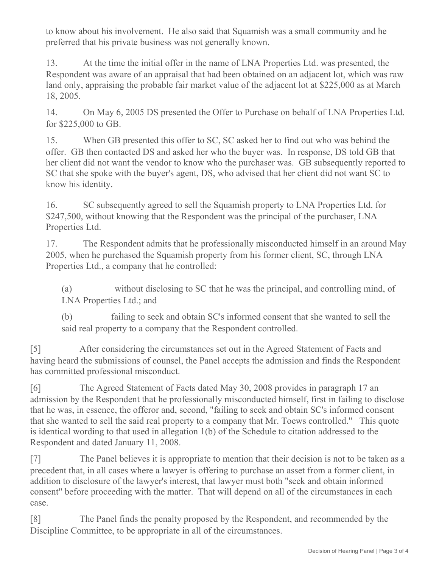to know about his involvement. He also said that Squamish was a small community and he preferred that his private business was not generally known.

13. At the time the initial offer in the name of LNA Properties Ltd. was presented, the Respondent was aware of an appraisal that had been obtained on an adjacent lot, which was raw land only, appraising the probable fair market value of the adjacent lot at \$225,000 as at March 18, 2005.

14. On May 6, 2005 DS presented the Offer to Purchase on behalf of LNA Properties Ltd. for \$225,000 to GB.

15. When GB presented this offer to SC, SC asked her to find out who was behind the offer. GB then contacted DS and asked her who the buyer was. In response, DS told GB that her client did not want the vendor to know who the purchaser was. GB subsequently reported to SC that she spoke with the buyer's agent, DS, who advised that her client did not want SC to know his identity.

16. SC subsequently agreed to sell the Squamish property to LNA Properties Ltd. for \$247,500, without knowing that the Respondent was the principal of the purchaser, LNA Properties Ltd.

17. The Respondent admits that he professionally misconducted himself in an around May 2005, when he purchased the Squamish property from his former client, SC, through LNA Properties Ltd., a company that he controlled:

(a) without disclosing to SC that he was the principal, and controlling mind, of LNA Properties Ltd.; and

(b) failing to seek and obtain SC's informed consent that she wanted to sell the said real property to a company that the Respondent controlled.

[5] After considering the circumstances set out in the Agreed Statement of Facts and having heard the submissions of counsel, the Panel accepts the admission and finds the Respondent has committed professional misconduct.

[6] The Agreed Statement of Facts dated May 30, 2008 provides in paragraph 17 an admission by the Respondent that he professionally misconducted himself, first in failing to disclose that he was, in essence, the offeror and, second, "failing to seek and obtain SC's informed consent that she wanted to sell the said real property to a company that Mr. Toews controlled." This quote is identical wording to that used in allegation 1(b) of the Schedule to citation addressed to the Respondent and dated January 11, 2008.

[7] The Panel believes it is appropriate to mention that their decision is not to be taken as a precedent that, in all cases where a lawyer is offering to purchase an asset from a former client, in addition to disclosure of the lawyer's interest, that lawyer must both "seek and obtain informed consent" before proceeding with the matter. That will depend on all of the circumstances in each case.

[8] The Panel finds the penalty proposed by the Respondent, and recommended by the Discipline Committee, to be appropriate in all of the circumstances.